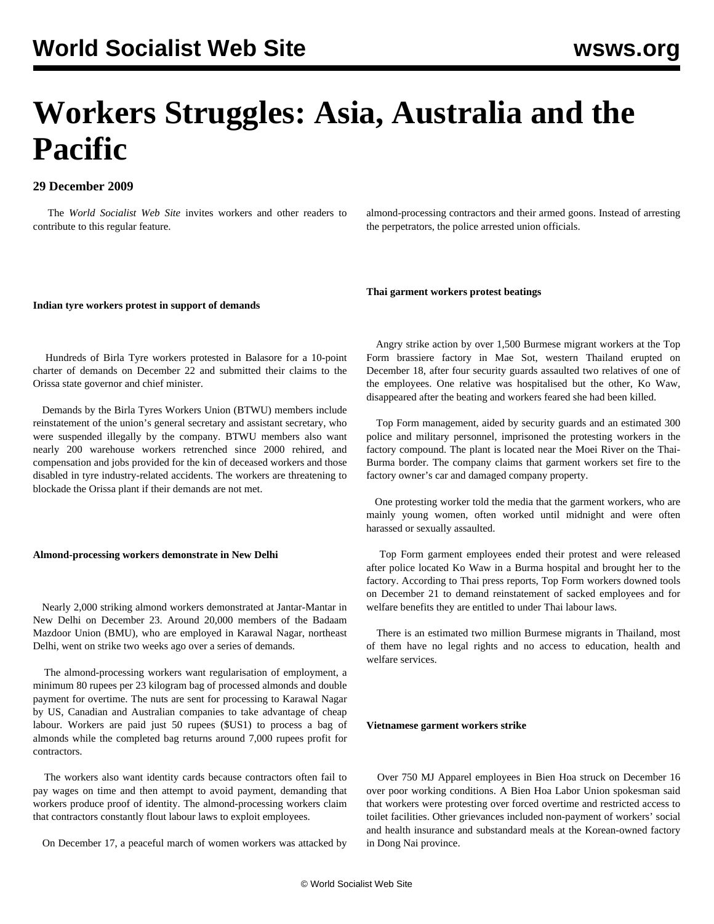# **Workers Struggles: Asia, Australia and the Pacific**

# **29 December 2009**

 The *World Socialist Web Site* invites workers and other readers to [contribute](/wsws/dd-formmailer/dd-formmailer.php) to this regular feature.

almond-processing contractors and their armed goons. Instead of arresting the perpetrators, the police arrested union officials.

#### **Indian tyre workers protest in support of demands**

 Hundreds of Birla Tyre workers protested in Balasore for a 10-point charter of demands on December 22 and submitted their claims to the Orissa state governor and chief minister.

 Demands by the Birla Tyres Workers Union (BTWU) members include reinstatement of the union's general secretary and assistant secretary, who were suspended illegally by the company. BTWU members also want nearly 200 warehouse workers retrenched since 2000 rehired, and compensation and jobs provided for the kin of deceased workers and those disabled in tyre industry-related accidents. The workers are threatening to blockade the Orissa plant if their demands are not met.

### **Almond-processing workers demonstrate in New Delhi**

 Nearly 2,000 striking almond workers demonstrated at Jantar-Mantar in New Delhi on December 23. Around 20,000 members of the Badaam Mazdoor Union (BMU), who are employed in Karawal Nagar, northeast Delhi, went on strike two weeks ago over a series of demands.

 The almond-processing workers want regularisation of employment, a minimum 80 rupees per 23 kilogram bag of processed almonds and double payment for overtime. The nuts are sent for processing to Karawal Nagar by US, Canadian and Australian companies to take advantage of cheap labour. Workers are paid just 50 rupees (\$US1) to process a bag of almonds while the completed bag returns around 7,000 rupees profit for contractors.

 The workers also want identity cards because contractors often fail to pay wages on time and then attempt to avoid payment, demanding that workers produce proof of identity. The almond-processing workers claim that contractors constantly flout labour laws to exploit employees.

On December 17, a peaceful march of women workers was attacked by

**Thai garment workers protest beatings**

 Angry strike action by over 1,500 Burmese migrant workers at the Top Form brassiere factory in Mae Sot, western Thailand erupted on December 18, after four security guards assaulted two relatives of one of the employees. One relative was hospitalised but the other, Ko Waw, disappeared after the beating and workers feared she had been killed.

 Top Form management, aided by security guards and an estimated 300 police and military personnel, imprisoned the protesting workers in the factory compound. The plant is located near the Moei River on the Thai-Burma border. The company claims that garment workers set fire to the factory owner's car and damaged company property.

 One protesting worker told the media that the garment workers, who are mainly young women, often worked until midnight and were often harassed or sexually assaulted.

 Top Form garment employees ended their protest and were released after police located Ko Waw in a Burma hospital and brought her to the factory. According to Thai press reports, Top Form workers downed tools on December 21 to demand reinstatement of sacked employees and for welfare benefits they are entitled to under Thai labour laws.

 There is an estimated two million Burmese migrants in Thailand, most of them have no legal rights and no access to education, health and welfare services.

#### **Vietnamese garment workers strike**

 Over 750 MJ Apparel employees in Bien Hoa struck on December 16 over poor working conditions. A Bien Hoa Labor Union spokesman said that workers were protesting over forced overtime and restricted access to toilet facilities. Other grievances included non-payment of workers' social and health insurance and substandard meals at the Korean-owned factory in Dong Nai province.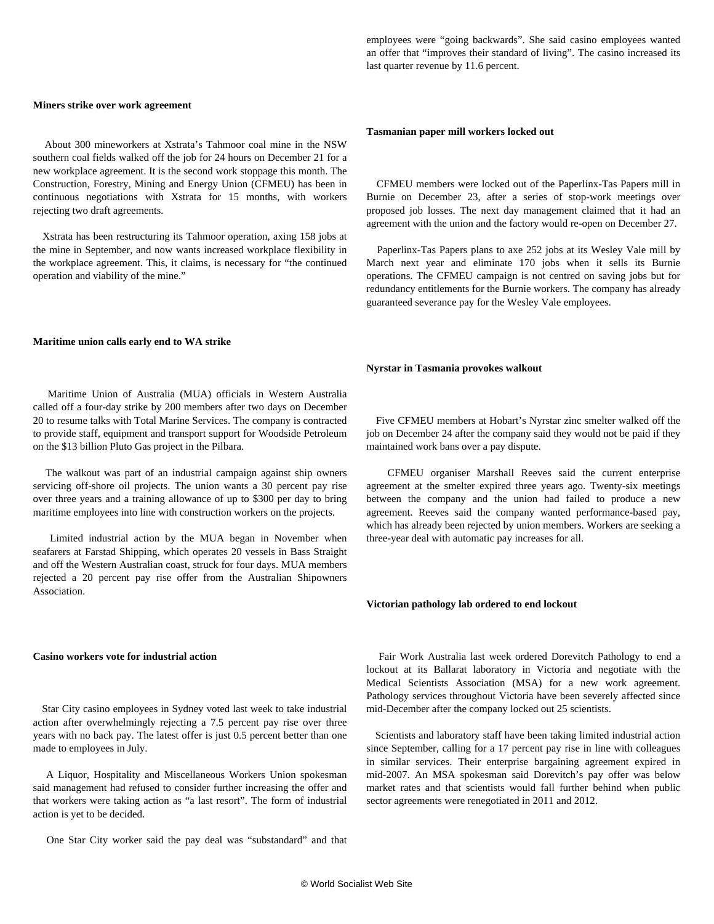## **Miners strike over work agreement**

 About 300 mineworkers at Xstrata's Tahmoor coal mine in the NSW southern coal fields walked off the job for 24 hours on December 21 for a new workplace agreement. It is the second work stoppage this month. The Construction, Forestry, Mining and Energy Union (CFMEU) has been in continuous negotiations with Xstrata for 15 months, with workers rejecting two draft agreements.

 Xstrata has been restructuring its Tahmoor operation, axing 158 jobs at the mine in September, and now wants increased workplace flexibility in the workplace agreement. This, it claims, is necessary for "the continued operation and viability of the mine."

#### **Maritime union calls early end to WA strike**

 Maritime Union of Australia (MUA) officials in Western Australia called off a four-day strike by 200 members after two days on December 20 to resume talks with Total Marine Services. The company is contracted to provide staff, equipment and transport support for Woodside Petroleum on the \$13 billion Pluto Gas project in the Pilbara.

 The walkout was part of an industrial campaign against ship owners servicing off-shore oil projects. The union wants a 30 percent pay rise over three years and a training allowance of up to \$300 per day to bring maritime employees into line with construction workers on the projects.

 Limited industrial action by the MUA began in November when seafarers at Farstad Shipping, which operates 20 vessels in Bass Straight and off the Western Australian coast, struck for four days. MUA members rejected a 20 percent pay rise offer from the Australian Shipowners Association.

#### **Casino workers vote for industrial action**

 Star City casino employees in Sydney voted last week to take industrial action after overwhelmingly rejecting a 7.5 percent pay rise over three years with no back pay. The latest offer is just 0.5 percent better than one made to employees in July.

 A Liquor, Hospitality and Miscellaneous Workers Union spokesman said management had refused to consider further increasing the offer and that workers were taking action as "a last resort". The form of industrial action is yet to be decided.

One Star City worker said the pay deal was "substandard" and that

employees were "going backwards". She said casino employees wanted an offer that "improves their standard of living". The casino increased its last quarter revenue by 11.6 percent.

#### **Tasmanian paper mill workers locked out**

 CFMEU members were locked out of the Paperlinx-Tas Papers mill in Burnie on December 23, after a series of stop-work meetings over proposed job losses. The next day management claimed that it had an agreement with the union and the factory would re-open on December 27.

 Paperlinx-Tas Papers plans to axe 252 jobs at its Wesley Vale mill by March next year and eliminate 170 jobs when it sells its Burnie operations. The CFMEU campaign is not centred on saving jobs but for redundancy entitlements for the Burnie workers. The company has already guaranteed severance pay for the Wesley Vale employees.

#### **Nyrstar in Tasmania provokes walkout**

 Five CFMEU members at Hobart's Nyrstar zinc smelter walked off the job on December 24 after the company said they would not be paid if they maintained work bans over a pay dispute.

 CFMEU organiser Marshall Reeves said the current enterprise agreement at the smelter expired three years ago. Twenty-six meetings between the company and the union had failed to produce a new agreement. Reeves said the company wanted performance-based pay, which has already been rejected by union members. Workers are seeking a three-year deal with automatic pay increases for all.

#### **Victorian pathology lab ordered to end lockout**

 Fair Work Australia last week ordered Dorevitch Pathology to end a lockout at its Ballarat laboratory in Victoria and negotiate with the Medical Scientists Association (MSA) for a new work agreement. Pathology services throughout Victoria have been severely affected since mid-December after the company locked out 25 scientists.

 Scientists and laboratory staff have been taking limited industrial action since September, calling for a 17 percent pay rise in line with colleagues in similar services. Their enterprise bargaining agreement expired in mid-2007. An MSA spokesman said Dorevitch's pay offer was below market rates and that scientists would fall further behind when public sector agreements were renegotiated in 2011 and 2012.